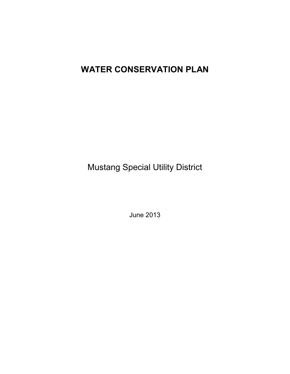# **WATER CONSERVATION PLAN**

Mustang Special Utility District

June 2013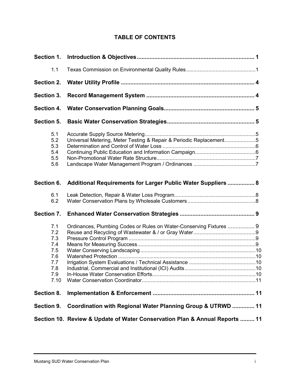# **TABLE OF CONTENTS**

| 1.1                                                                 |                                                                     |  |
|---------------------------------------------------------------------|---------------------------------------------------------------------|--|
| Section 2.                                                          |                                                                     |  |
| Section 3.                                                          |                                                                     |  |
| Section 4.                                                          |                                                                     |  |
| Section 5.                                                          |                                                                     |  |
| 5.1<br>5.2<br>5.3<br>5.4<br>5.5<br>5.6                              | Universal Metering, Meter Testing & Repair & Periodic Replacement5  |  |
| Section 6.                                                          | Additional Requirements for Larger Public Water Suppliers  8        |  |
| 6.1<br>6.2                                                          |                                                                     |  |
| Section 7.                                                          |                                                                     |  |
| 7.1<br>7.2<br>7.3<br>7.4<br>7.5<br>7.6<br>7.7<br>7.8<br>7.9<br>7.10 | Ordinances, Plumbing Codes or Rules on Water-Conserving Fixtures  9 |  |
| Section 8.                                                          |                                                                     |  |
| Section 9.                                                          | Coordination with Regional Water Planning Group & UTRWD  11         |  |
|                                                                     |                                                                     |  |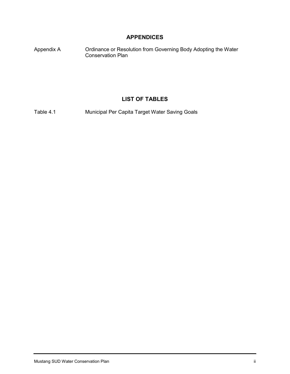# **APPENDICES**

Appendix A Ordinance or Resolution from Governing Body Adopting the Water Conservation Plan

# **LIST OF TABLES**

Table 4.1 Municipal Per Capita Target Water Saving Goals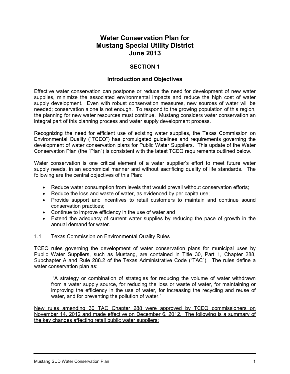# **Water Conservation Plan for Mustang Special Utility District June 2013**

# **SECTION 1**

## **Introduction and Objectives**

Effective water conservation can postpone or reduce the need for development of new water supplies, minimize the associated environmental impacts and reduce the high cost of water supply development. Even with robust conservation measures, new sources of water will be needed; conservation alone is not enough. To respond to the growing population of this region, the planning for new water resources must continue. Mustang considers water conservation an integral part of this planning process and water supply development process.

Recognizing the need for efficient use of existing water supplies, the Texas Commission on Environmental Quality ("TCEQ") has promulgated guidelines and requirements governing the development of water conservation plans for Public Water Suppliers. This update of the Water Conservation Plan (the "Plan") is consistent with the latest TCEQ requirements outlined below.

Water conservation is one critical element of a water supplier's effort to meet future water supply needs, in an economical manner and without sacrificing quality of life standards. The following are the central objectives of this Plan:

- Reduce water consumption from levels that would prevail without conservation efforts;
- Reduce the loss and waste of water, as evidenced by per capita use;
- Provide support and incentives to retail customers to maintain and continue sound conservation practices;
- Continue to improve efficiency in the use of water and
- Extend the adequacy of current water supplies by reducing the pace of growth in the annual demand for water.
- 1.1 Texas Commission on Environmental Quality Rules

TCEQ rules governing the development of water conservation plans for municipal uses by Public Water Suppliers, such as Mustang, are contained in Title 30, Part 1, Chapter 288, Subchapter A and Rule 288.2 of the Texas Administrative Code ("TAC"). The rules define a water conservation plan as:

"A strategy or combination of strategies for reducing the volume of water withdrawn from a water supply source, for reducing the loss or waste of water, for maintaining or improving the efficiency in the use of water, for increasing the recycling and reuse of water, and for preventing the pollution of water."

New rules amending 30 TAC Chapter 288 were approved by TCEQ commissioners on November 14, 2012 and made effective on December 6, 2012. The following is a summary of the key changes affecting retail public water suppliers: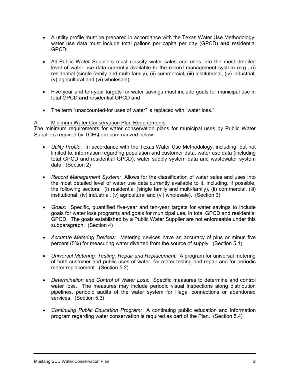- A utility profile must be prepared in accordance with the Texas Water Use Methodology; water use data must include total gallons per capita per day (GPCD) **and** residential GPCD;
- All Public Water Suppliers must classify water sales and uses into the most detailed level of water use data currently available to the record management system (e.g., (i) residential (single family and multi-family), (ii) commercial, (iii) institutional, (iv) industrial, (v) agricultural and (vi) wholesale);
- Five-year and ten-year targets for water savings must include goals for municipal use in total GPCD **and** residential GPCD and
- The term "unaccounted-for uses of water" is replaced with "water loss."

#### A. Minimum Water Conservation Plan Requirements

The minimum requirements for water conservation plans for municipal uses by Public Water Suppliers required by TCEQ are summarized below.

- *Utility Profile*: In accordance with the Texas Water Use Methodology, including, but not limited to, information regarding population and customer data, water use data (including total GPCD and residential GPCD), water supply system data and wastewater system data. (Section 2)
- *Record Management System:* Allows for the classification of water sales and uses into the most detailed level of water use data currently available to it, including, if possible, the following sectors: (i) residential (single family and multi-family), (ii) commercial, (iii) institutional, (iv) industrial, (v) agricultural and (vi) wholesale). (Section 3)
- *Goals:* Specific, quantified five-year and ten-year targets for water savings to include goals for water loss programs and goals for municipal use, in total GPCD and residential GPCD. The goals established by a Public Water Supplier are not enforceable under this subparagraph. (Section 4)
- *Accurate Metering Devices:* Metering devices have an accuracy of plus or minus five percent (5%) for measuring water diverted from the source of supply. (Section 5.1)
- *Universal Metering, Testing, Repair and Replacement:* A program for universal metering of both customer and public uses of water, for meter testing and repair and for periodic meter replacement. (Section 5.2)
- *Determination and Control of Water Loss:* Specific measures to determine and control water loss. The measures may include periodic visual inspections along distribution pipelines, periodic audits of the water system for illegal connections or abandoned services. (Section 5.3)
- *Continuing Public Education Program:* A continuing public education and information program regarding water conservation is required as part of the Plan. (Section 5.4)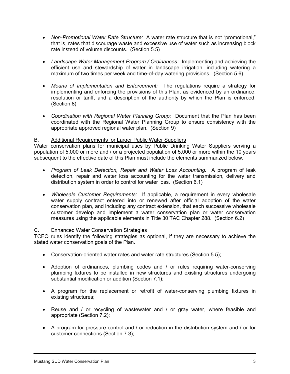- *Non-Promotional Water Rate Structure:* A water rate structure that is not "promotional," that is, rates that discourage waste and excessive use of water such as increasing block rate instead of volume discounts. (Section 5.5)
- *Landscape Water Management Program / Ordinances:* Implementing and achieving the efficient use and stewardship of water in landscape irrigation, including watering a maximum of two times per week and time-of-day watering provisions. (Section 5.6)
- *Means of Implementation and Enforcement:* The regulations require a strategy for implementing and enforcing the provisions of this Plan, as evidenced by an ordinance, resolution or tariff, and a description of the authority by which the Plan is enforced. (Section 8)
- *Coordination with Regional Water Planning Group:* Document that the Plan has been coordinated with the Regional Water Planning Group to ensure consistency with the appropriate approved regional water plan. (Section 9)

## B. Additional Requirements for Larger Public Water Suppliers

Water conservation plans for municipal uses by Public Drinking Water Suppliers serving a population of 5,000 or more and / or a projected population of 5,000 or more within the 10 years subsequent to the effective date of this Plan must include the elements summarized below.

- *Program of Leak Detection, Repair and Water Loss Accounting:* A program of leak detection, repair and water loss accounting for the water transmission, delivery and distribution system in order to control for water loss. (Section 6.1)
- *Wholesale Customer Requirements:* If applicable, a requirement in every wholesale water supply contract entered into or renewed after official adoption of the water conservation plan, and including any contract extension, that each successive wholesale customer develop and implement a water conservation plan or water conservation measures using the applicable elements in Title 30 TAC Chapter 288. (Section 6.2)

#### C. Enhanced Water Conservation Strategies

TCEQ rules identify the following strategies as optional, if they are necessary to achieve the stated water conservation goals of the Plan.

- Conservation-oriented water rates and water rate structures (Section 5.5);
- Adoption of ordinances, plumbing codes and / or rules requiring water-conserving plumbing fixtures to be installed in new structures and existing structures undergoing substantial modification or addition (Section 7.1);
- A program for the replacement or retrofit of water-conserving plumbing fixtures in existing structures;
- Reuse and / or recycling of wastewater and / or gray water, where feasible and appropriate (Section 7.2);
- A program for pressure control and / or reduction in the distribution system and / or for customer connections (Section 7.3);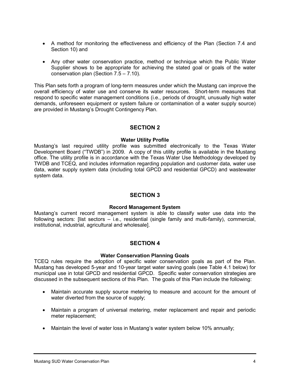- A method for monitoring the effectiveness and efficiency of the Plan (Section 7.4 and Section 10) and
- Any other water conservation practice, method or technique which the Public Water Supplier shows to be appropriate for achieving the stated goal or goals of the water conservation plan (Section 7.5 – 7.10).

This Plan sets forth a program of long-term measures under which the Mustang can improve the overall efficiency of water use and conserve its water resources. Short-term measures that respond to specific water management conditions (i.e., periods of drought, unusually high water demands, unforeseen equipment or system failure or contamination of a water supply source) are provided in Mustang's Drought Contingency Plan.

## **SECTION 2**

#### **Water Utility Profile**

Mustang's last required utility profile was submitted electronically to the Texas Water Development Board ("TWDB") in 2009. A copy of this utility profile is available in the Mustang office. The utility profile is in accordance with the Texas Water Use Methodology developed by TWDB and TCEQ, and includes information regarding population and customer data, water use data, water supply system data (including total GPCD and residential GPCD) and wastewater system data.

# **SECTION 3**

#### **Record Management System**

Mustang's current record management system is able to classify water use data into the following sectors: [list sectors – i.e., residential (single family and multi-family), commercial, institutional, industrial, agricultural and wholesale].

# **SECTION 4**

#### **Water Conservation Planning Goals**

TCEQ rules require the adoption of specific water conservation goals as part of the Plan. Mustang has developed 5-year and 10-year target water saving goals (see Table 4.1 below) for municipal use in total GPCD and residential GPCD. Specific water conservation strategies are discussed in the subsequent sections of this Plan. The goals of this Plan include the following:

- Maintain accurate supply source metering to measure and account for the amount of water diverted from the source of supply;
- Maintain a program of universal metering, meter replacement and repair and periodic meter replacement;
- Maintain the level of water loss in Mustang's water system below 10% annually;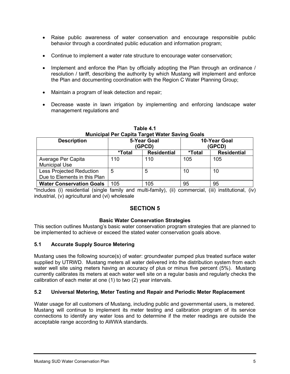- Raise public awareness of water conservation and encourage responsible public behavior through a coordinated public education and information program;
- Continue to implement a water rate structure to encourage water conservation;
- Implement and enforce the Plan by officially adopting the Plan through an ordinance / resolution / tariff, describing the authority by which Mustang will implement and enforce the Plan and documenting coordination with the Region C Water Planning Group;
- Maintain a program of leak detection and repair;
- Decrease waste in lawn irrigation by implementing and enforcing landscape water management regulations and

| <b>Description</b>                                              | <b>5-Year Goal</b><br>(GPCD) |                    | 10-Year Goal<br>(GPCD) |                    |
|-----------------------------------------------------------------|------------------------------|--------------------|------------------------|--------------------|
|                                                                 | *Total                       | <b>Residential</b> | *Total                 | <b>Residential</b> |
| Average Per Capita<br><b>Municipal Use</b>                      | 110                          | 110                | 105                    | 105                |
| <b>Less Projected Reduction</b><br>Due to Elements in this Plan | 5                            | 5                  | 10                     | 10                 |
| <b>Water Conservation Goals</b>                                 | 105                          | 105                | 95                     | 95                 |

#### **Table 4.1 Municipal Per Capita Target Water Saving Goals**

\*Includes (i) residential (single family and multi-family), (ii) commercial, (iii) institutional, (iv) industrial, (v) agricultural and (vi) wholesale

# **SECTION 5**

#### **Basic Water Conservation Strategies**

This section outlines Mustang's basic water conservation program strategies that are planned to be implemented to achieve or exceed the stated water conservation goals above.

#### **5.1 Accurate Supply Source Metering**

Mustang uses the following source(s) of water: groundwater pumped plus treated surface water supplied by UTRWD. Mustang meters all water delivered into the distribution system from each water well site using meters having an accuracy of plus or minus five percent (5%). Mustang currently calibrates its meters at each water well site on a regular basis and regularly checks the calibration of each meter at one (1) to two (2) year intervals.

#### **5.2 Universal Metering, Meter Testing and Repair and Periodic Meter Replacement**

Water usage for all customers of Mustang, including public and governmental users, is metered. Mustang will continue to implement its meter testing and calibration program of its service connections to identify any water loss and to determine if the meter readings are outside the acceptable range according to AWWA standards.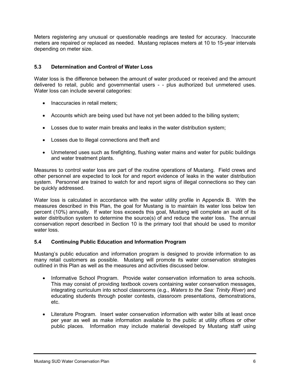Meters registering any unusual or questionable readings are tested for accuracy. Inaccurate meters are repaired or replaced as needed. Mustang replaces meters at 10 to 15-year intervals depending on meter size.

#### **5.3 Determination and Control of Water Loss**

Water loss is the difference between the amount of water produced or received and the amount delivered to retail, public and governmental users - - plus authorized but unmetered uses. Water loss can include several categories:

- Inaccuracies in retail meters;
- Accounts which are being used but have not yet been added to the billing system;
- Losses due to water main breaks and leaks in the water distribution system;
- Losses due to illegal connections and theft and
- Unmetered uses such as firefighting, flushing water mains and water for public buildings and water treatment plants.

Measures to control water loss are part of the routine operations of Mustang. Field crews and other personnel are expected to look for and report evidence of leaks in the water distribution system. Personnel are trained to watch for and report signs of illegal connections so they can be quickly addressed.

Water loss is calculated in accordance with the water utility profile in Appendix B. With the measures described in this Plan, the goal for Mustang is to maintain its water loss below ten percent (10%) annually. If water loss exceeds this goal, Mustang will complete an audit of its water distribution system to determine the source(s) of and reduce the water loss. The annual conservation report described in Section 10 is the primary tool that should be used to monitor water loss.

#### **5.4 Continuing Public Education and Information Program**

Mustang's public education and information program is designed to provide information to as many retail customers as possible. Mustang will promote its water conservation strategies outlined in this Plan as well as the measures and activities discussed below.

- Informative School Program. Provide water conservation information to area schools. This may consist of providing textbook covers containing water conservation messages, integrating curriculum into school classrooms (e.g., *Waters to the Sea: Trinity River*) and educating students through poster contests, classroom presentations, demonstrations, etc.
- Literature Program. Insert water conservation information with water bills at least once per year as well as make information available to the public at utility offices or other public places. Information may include material developed by Mustang staff using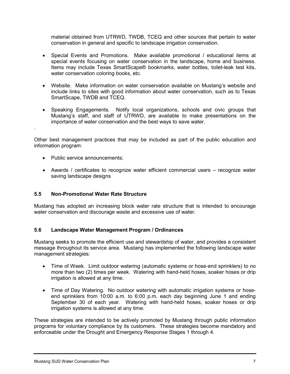material obtained from UTRWD, TWDB, TCEQ and other sources that pertain to water conservation in general and specific to landscape irrigation conservation.

- Special Events and Promotions. Make available promotional / educational items at special events focusing on water conservation in the landscape, home and business. Items may include Texas SmartScape® bookmarks, water bottles, toilet-leak test kits, water conservation coloring books, etc.
- Website. Make information on water conservation available on Mustang's website and include links to sites with good information about water conservation, such as to Texas SmartScape, TWDB and TCEQ.
- Speaking Engagements. Notify local organizations, schools and civic groups that Mustang's staff, and staff of UTRWD, are available to make presentations on the importance of water conservation and the best ways to save water.

Other best management practices that may be included as part of the public education and information program:

• Public service announcements;

.

• Awards / certificates to recognize water efficient commercial users – recognize water saving landscape designs

#### **5.5 Non-Promotional Water Rate Structure**

Mustang has adopted an increasing block water rate structure that is intended to encourage water conservation and discourage waste and excessive use of water.

#### **5.6 Landscape Water Management Program / Ordinances**

Mustang seeks to promote the efficient use and stewardship of water, and provides a consistent message throughout its service area. Mustang has implemented the following landscape water management strategies:

- Time of Week. Limit outdoor watering (automatic systems or hose-end sprinklers) to no more than two (2) times per week. Watering with hand-held hoses, soaker hoses or drip irrigation is allowed at any time.
- Time of Day Watering. No outdoor watering with automatic irrigation systems or hoseend sprinklers from 10:00 a.m. to 6:00 p.m. each day beginning June 1 and ending September 30 of each year. Watering with hand-held hoses, soaker hoses or drip irrigation systems is allowed at any time.

These strategies are intended to be actively promoted by Mustang through public information programs for voluntary compliance by its customers. These strategies become mandatory and enforceable under the Drought and Emergency Response Stages 1 through 4.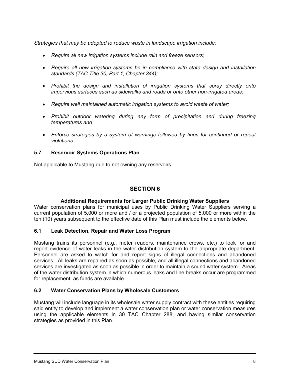*Strategies that may be adopted to reduce waste in landscape irrigation include:*

- *Require all new irrigation systems include rain and freeze sensors;*
- *Require all new irrigation systems be in compliance with state design and installation standards (TAC Title 30, Part 1, Chapter 344);*
- *Prohibit the design and installation of irrigation systems that spray directly onto impervious surfaces such as sidewalks and roads or onto other non-irrigated areas;*
- *Require well maintained automatic irrigation systems to avoid waste of water;*
- *Prohibit outdoor watering during any form of precipitation and during freezing temperatures and*
- *Enforce strategies by a system of warnings followed by fines for continued or repeat violations.*

#### **5.7 Reservoir Systems Operations Plan**

Not applicable to Mustang due to not owning any reservoirs.

# **SECTION 6**

#### **Additional Requirements for Larger Public Drinking Water Suppliers**

Water conservation plans for municipal uses by Public Drinking Water Suppliers serving a current population of 5,000 or more and / or a projected population of 5,000 or more within the ten (10) years subsequent to the effective date of this Plan must include the elements below.

#### **6.1 Leak Detection, Repair and Water Loss Program**

Mustang trains its personnel (e.g., meter readers, maintenance crews, etc.) to look for and report evidence of water leaks in the water distribution system to the appropriate department. Personnel are asked to watch for and report signs of illegal connections and abandoned services. All leaks are repaired as soon as possible, and all illegal connections and abandoned services are investigated as soon as possible in order to maintain a sound water system. Areas of the water distribution system in which numerous leaks and line breaks occur are programmed for replacement, as funds are available.

#### **6.2 Water Conservation Plans by Wholesale Customers**

Mustang will include language in its wholesale water supply contract with these entities requiring said entity to develop and implement a water conservation plan or water conservation measures using the applicable elements in 30 TAC Chapter 288, and having similar conservation strategies as provided in this Plan.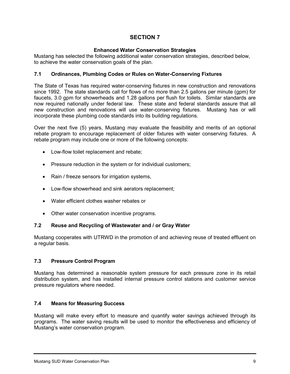# **SECTION 7**

#### **Enhanced Water Conservation Strategies**

Mustang has selected the following additional water conservation strategies, described below, to achieve the water conservation goals of the plan.

#### **7.1 Ordinances, Plumbing Codes or Rules on Water-Conserving Fixtures**

The State of Texas has required water-conserving fixtures in new construction and renovations since 1992. The state standards call for flows of no more than 2.5 gallons per minute (gpm) for faucets, 3.0 gpm for showerheads and 1.28 gallons per flush for toilets. Similar standards are now required nationally under federal law. These state and federal standards assure that all new construction and renovations will use water-conserving fixtures. Mustang has or will incorporate these plumbing code standards into its building regulations.

Over the next five (5) years, Mustang may evaluate the feasibility and merits of an optional rebate program to encourage replacement of older fixtures with water conserving fixtures. A rebate program may include one or more of the following concepts:

- Low-flow toilet replacement and rebate;
- Pressure reduction in the system or for individual customers;
- Rain / freeze sensors for irrigation systems,
- Low-flow showerhead and sink aerators replacement;
- Water efficient clothes washer rebates or
- Other water conservation incentive programs.

#### **7.2 Reuse and Recycling of Wastewater and / or Gray Water**

Mustang cooperates with UTRWD in the promotion of and achieving reuse of treated effluent on a regular basis.

#### **7.3 Pressure Control Program**

Mustang has determined a reasonable system pressure for each pressure zone in its retail distribution system, and has installed internal pressure control stations and customer service pressure regulators where needed.

#### **7.4 Means for Measuring Success**

Mustang will make every effort to measure and quantify water savings achieved through its programs. The water saving results will be used to monitor the effectiveness and efficiency of Mustang's water conservation program.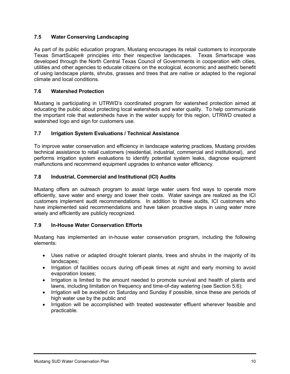# **7.5 Water Conserving Landscaping**

As part of its public education program, Mustang encourages its retail customers to incorporate Texas SmartScape**®** principles into their respective landscapes. Texas Smartscape was developed through the North Central Texas Council of Governments in cooperation with cities, utilities and other agencies to educate citizens on the ecological, economic and aesthetic benefit of using landscape plants, shrubs, grasses and trees that are native or adapted to the regional climate and local conditions.

#### **7.6 Watershed Protection**

Mustang is participating in UTRWD's coordinated program for watershed protection aimed at educating the public about protecting local watersheds and water quality. To help communicate the important role that watersheds have in the water supply for this region, UTRWD created a watershed logo and sign for customers use.

## **7.7 Irrigation System Evaluations / Technical Assistance**

To improve water conservation and efficiency in landscape watering practices, Mustang provides technical assistance to retail customers (residential, industrial, commercial and institutional), and performs irrigation system evaluations to identify potential system leaks, diagnose equipment malfunctions and recommend equipment upgrades to enhance water efficiency.

## **7.8 Industrial, Commercial and Institutional (ICI) Audits**

Mustang offers an outreach program to assist large water users find ways to operate more efficiently, save water and energy and lower their costs. Water savings are realized as the ICI customers implement audit recommendations. In addition to these audits, ICI customers who have implemented said recommendations and have taken proactive steps in using water more wisely and efficiently are publicly recognized.

#### **7.9 In-House Water Conservation Efforts**

Mustang has implemented an in-house water conservation program, including the following elements:

- Uses native or adapted drought tolerant plants, trees and shrubs in the majority of its landscapes;
- Irrigation of facilities occurs during off-peak times at night and early morning to avoid evaporation losses;
- Irrigation is limited to the amount needed to promote survival and health of plants and lawns, including limitation on frequency and time-of-day watering (see Section 5.6);
- Irrigation will be avoided on Saturday and Sunday if possible, since these are periods of high water use by the public and
- Irrigation will be accomplished with treated wastewater effluent wherever feasible and practicable.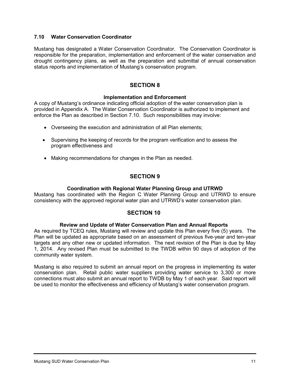#### **7.10 Water Conservation Coordinator**

Mustang has designated a Water Conservation Coordinator. The Conservation Coordinator is responsible for the preparation, implementation and enforcement of the water conservation and drought contingency plans, as well as the preparation and submittal of annual conservation status reports and implementation of Mustang's conservation program.

## **SECTION 8**

#### **Implementation and Enforcement**

A copy of Mustang's ordinance indicating official adoption of the water conservation plan is provided in Appendix A. The Water Conservation Coordinator is authorized to implement and enforce the Plan as described in Section 7.10. Such responsibilities may involve:

- Overseeing the execution and administration of all Plan elements;
- Supervising the keeping of records for the program verification and to assess the program effectiveness and
- Making recommendations for changes in the Plan as needed.

## **SECTION 9**

#### **Coordination with Regional Water Planning Group and UTRWD**

Mustang has coordinated with the Region C Water Planning Group and UTRWD to ensure consistency with the approved regional water plan and UTRWD's water conservation plan.

#### **SECTION 10**

#### **Review and Update of Water Conservation Plan and Annual Reports**

As required by TCEQ rules, Mustang will review and update this Plan every five (5) years. The Plan will be updated as appropriate based on an assessment of previous five-year and ten-year targets and any other new or updated information. The next revision of the Plan is due by May 1, 2014. Any revised Plan must be submitted to the TWDB within 90 days of adoption of the community water system.

Mustang is also required to submit an annual report on the progress in implementing its water conservation plan. Retail public water suppliers providing water service to 3,300 or more connections must also submit an annual report to TWDB by May 1 of each year. Said report will be used to monitor the effectiveness and efficiency of Mustang's water conservation program.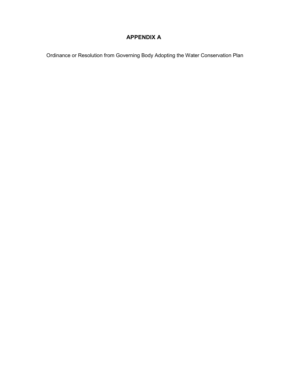# **APPENDIX A**

Ordinance or Resolution from Governing Body Adopting the Water Conservation Plan